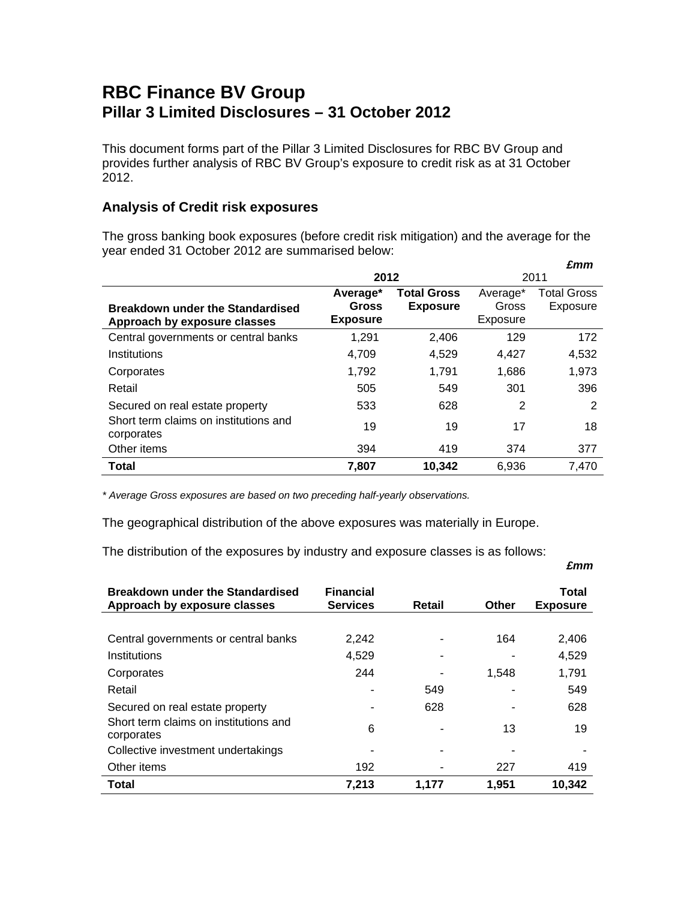## **RBC Finance BV Group Pillar 3 Limited Disclosures – 31 October 2012**

This document forms part of the Pillar 3 Limited Disclosures for RBC BV Group and provides further analysis of RBC BV Group's exposure to credit risk as at 31 October 2012.

## **Analysis of Credit risk exposures**

The gross banking book exposures (before credit risk mitigation) and the average for the year ended 31 October 2012 are summarised below:  *£mm* 

|                                                     |                 |                    |          | ziiiii             |
|-----------------------------------------------------|-----------------|--------------------|----------|--------------------|
|                                                     | 2012            |                    | 2011     |                    |
|                                                     | Average*        | <b>Total Gross</b> | Average* | <b>Total Gross</b> |
| <b>Breakdown under the Standardised</b>             | <b>Gross</b>    | <b>Exposure</b>    | Gross    | Exposure           |
| Approach by exposure classes                        | <b>Exposure</b> |                    | Exposure |                    |
| Central governments or central banks                | 1,291           | 2,406              | 129      | 172                |
| Institutions                                        | 4,709           | 4,529              | 4,427    | 4,532              |
| Corporates                                          | 1,792           | 1,791              | 1,686    | 1,973              |
| Retail                                              | 505             | 549                | 301      | 396                |
| Secured on real estate property                     | 533             | 628                | 2        | 2                  |
| Short term claims on institutions and<br>corporates | 19              | 19                 | 17       | 18                 |
| Other items                                         | 394             | 419                | 374      | 377                |
| <b>Total</b>                                        | 7,807           | 10,342             | 6,936    | 7,470              |

*\* Average Gross exposures are based on two preceding half-yearly observations.* 

The geographical distribution of the above exposures was materially in Europe.

The distribution of the exposures by industry and exposure classes is as follows:

## *£mm*

| <b>Breakdown under the Standardised</b><br>Approach by exposure classes | <b>Financial</b><br><b>Services</b> | Retail | Other | Total<br><b>Exposure</b> |
|-------------------------------------------------------------------------|-------------------------------------|--------|-------|--------------------------|
| Central governments or central banks                                    | 2.242                               |        | 164   | 2,406                    |
| Institutions                                                            | 4,529                               |        |       | 4,529                    |
| Corporates                                                              | 244                                 |        | 1,548 | 1,791                    |
| Retail                                                                  |                                     | 549    |       | 549                      |
| Secured on real estate property                                         |                                     | 628    |       | 628                      |
| Short term claims on institutions and<br>corporates                     | 6                                   |        | 13    | 19                       |
| Collective investment undertakings                                      |                                     |        |       |                          |
| Other items                                                             | 192                                 |        | 227   | 419                      |
| Total                                                                   | 7,213                               | 1,177  | 1,951 | 10,342                   |